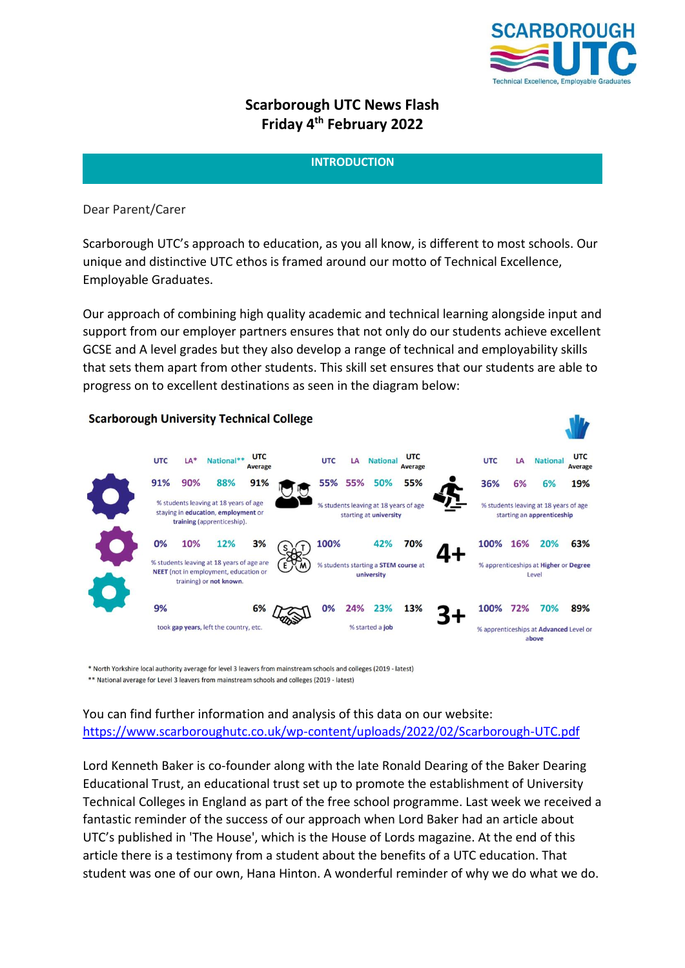

# **Scarborough UTC News Flash Friday 4 th February 2022**

## **INTRODUCTION**

## Dear Parent/Carer

Scarborough UTC's approach to education, as you all know, is different to most schools. Our unique and distinctive UTC ethos is framed around our motto of Technical Excellence, Employable Graduates.

Our approach of combining high quality academic and technical learning alongside input and support from our employer partners ensures that not only do our students achieve excellent GCSE and A level grades but they also develop a range of technical and employability skills that sets them apart from other students. This skill set ensures that our students are able to progress on to excellent destinations as seen in the diagram below:

#### **Scarborough University Technical College UTC UTC UTC UTC** National\*\* **UTC National UTC** LA\* LA LA **National** Average Average Average 91% 90% 88% 91% 55% 55% 50% 55% 36% 6% 6% 19% % students leaving at 18 years of age % students leaving at 18 years of age % students leaving at 18 years of age staying in education, employment or starting at university starting an apprenticeship training (apprenticeship). 100% 0% 10% 12%  $3%$ 42% 70% 100% 16% 20% 63% % students leaving at 18 years of age are % students starting a **STEM course** at % apprenticeships at Higher or Degree NEET (not in employment, education or university Level training) or not known. 9% 6% 0% 24% 23% 13% 100% 72% 70% 89% took gap years, left the country, etc. % started a job % apprenticeships at Advanced Level or above

\* North Yorkshire local authority average for level 3 leavers from mainstream schools and colleges (2019 - latest) \*\* National average for Level 3 leavers from mainstream schools and colleges (2019 - latest)

You can find further information and analysis of this data on our website: <https://www.scarboroughutc.co.uk/wp-content/uploads/2022/02/Scarborough-UTC.pdf>

Lord Kenneth Baker is co-founder along with the late Ronald Dearing of the Baker Dearing Educational Trust, an educational trust set up to promote the establishment of University Technical Colleges in England as part of the free school programme. Last week we received a fantastic reminder of the success of our approach when Lord Baker had an article about UTC's published in 'The House', which is the House of Lords magazine. At the end of this article there is a testimony from a student about the benefits of a UTC education. That student was one of our own, Hana Hinton. A wonderful reminder of why we do what we do.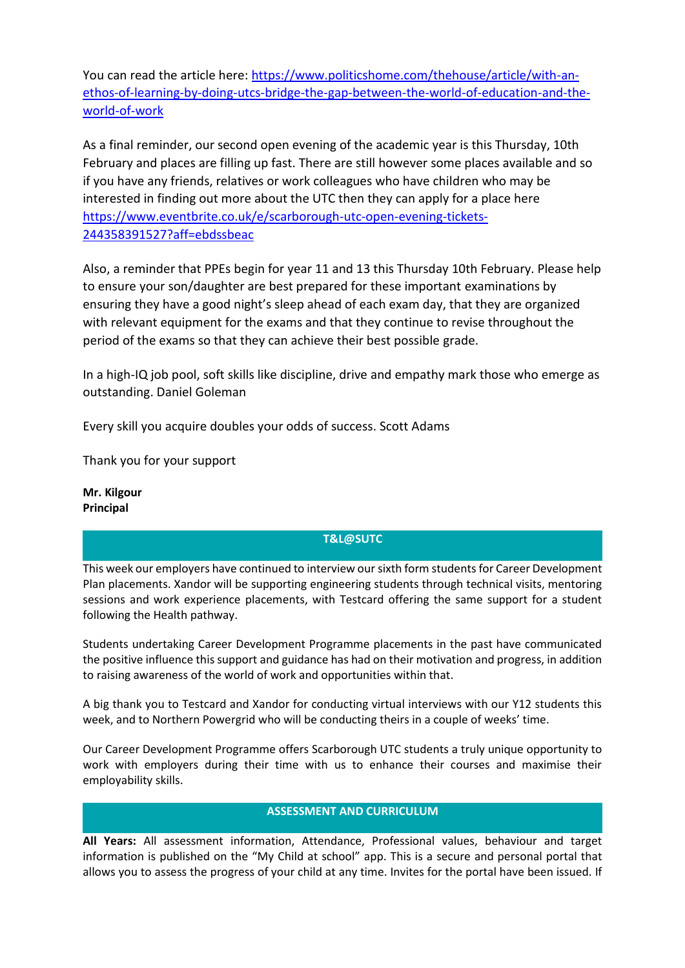You can read the article here: [https://www.politicshome.com/thehouse/article/with-an](https://www.politicshome.com/thehouse/article/with-an-ethos-of-learning-by-doing-utcs-bridge-the-gap-between-the-world-of-education-and-the-world-of-work)[ethos-of-learning-by-doing-utcs-bridge-the-gap-between-the-world-of-education-and-the](https://www.politicshome.com/thehouse/article/with-an-ethos-of-learning-by-doing-utcs-bridge-the-gap-between-the-world-of-education-and-the-world-of-work)[world-of-work](https://www.politicshome.com/thehouse/article/with-an-ethos-of-learning-by-doing-utcs-bridge-the-gap-between-the-world-of-education-and-the-world-of-work)

As a final reminder, our second open evening of the academic year is this Thursday, 10th February and places are filling up fast. There are still however some places available and so if you have any friends, relatives or work colleagues who have children who may be interested in finding out more about the UTC then they can apply for a place here [https://www.eventbrite.co.uk/e/scarborough-utc-open-evening-tickets-](https://www.eventbrite.co.uk/e/scarborough-utc-open-evening-tickets-244358391527?aff=ebdssbeac)[244358391527?aff=ebdssbeac](https://www.eventbrite.co.uk/e/scarborough-utc-open-evening-tickets-244358391527?aff=ebdssbeac)

Also, a reminder that PPEs begin for year 11 and 13 this Thursday 10th February. Please help to ensure your son/daughter are best prepared for these important examinations by ensuring they have a good night's sleep ahead of each exam day, that they are organized with relevant equipment for the exams and that they continue to revise throughout the period of the exams so that they can achieve their best possible grade.

In a high-IQ job pool, soft skills like discipline, drive and empathy mark those who emerge as outstanding. Daniel Goleman

Every skill you acquire doubles your odds of success. Scott Adams

Thank you for your support

**Mr. Kilgour Principal**

## **T&L@SUTC**

This week our employers have continued to interview our sixth form students for Career Development Plan placements. Xandor will be supporting engineering students through technical visits, mentoring sessions and work experience placements, with Testcard offering the same support for a student following the Health pathway.

Students undertaking Career Development Programme placements in the past have communicated the positive influence this support and guidance has had on their motivation and progress, in addition to raising awareness of the world of work and opportunities within that.

A big thank you to Testcard and Xandor for conducting virtual interviews with our Y12 students this week, and to Northern Powergrid who will be conducting theirs in a couple of weeks' time.

Our Career Development Programme offers Scarborough UTC students a truly unique opportunity to work with employers during their time with us to enhance their courses and maximise their employability skills.

## **ASSESSMENT AND CURRICULUM**

**All Years:** All assessment information, Attendance, Professional values, behaviour and target information is published on the "My Child at school" app. This is a secure and personal portal that allows you to assess the progress of your child at any time. Invites for the portal have been issued. If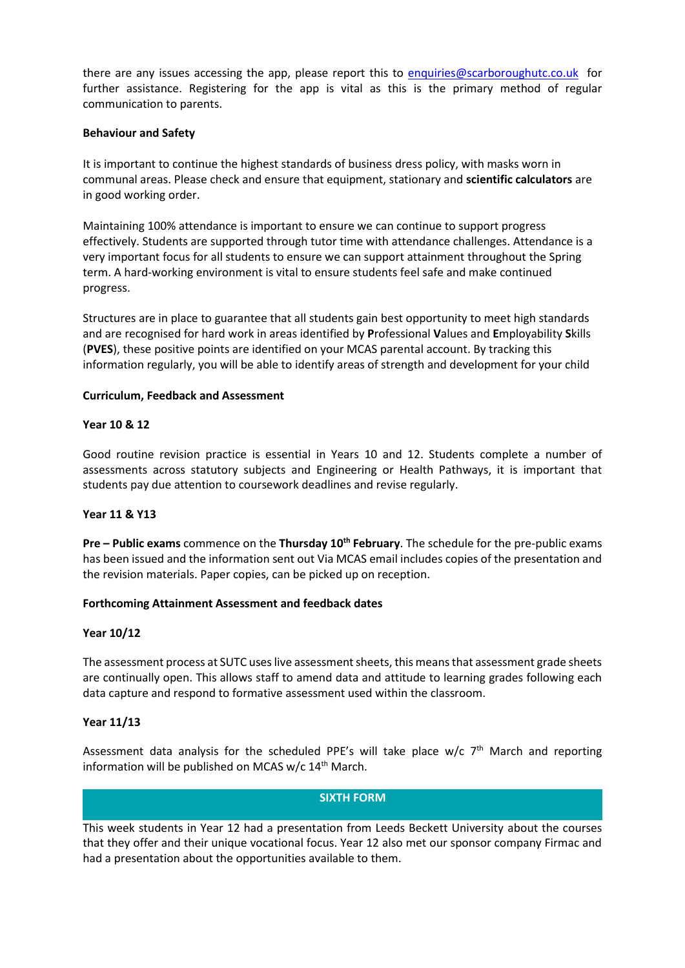there are any issues accessing the app, please report this to [enquiries@scarboroughutc.co.uk](mailto:enquiries@scarboroughutc.co.uk) for further assistance. Registering for the app is vital as this is the primary method of regular communication to parents.

#### **Behaviour and Safety**

It is important to continue the highest standards of business dress policy, with masks worn in communal areas. Please check and ensure that equipment, stationary and **scientific calculators** are in good working order.

Maintaining 100% attendance is important to ensure we can continue to support progress effectively. Students are supported through tutor time with attendance challenges. Attendance is a very important focus for all students to ensure we can support attainment throughout the Spring term. A hard-working environment is vital to ensure students feel safe and make continued progress.

Structures are in place to guarantee that all students gain best opportunity to meet high standards and are recognised for hard work in areas identified by **P**rofessional **V**alues and **E**mployability **S**kills (**PVES**), these positive points are identified on your MCAS parental account. By tracking this information regularly, you will be able to identify areas of strength and development for your child

#### **Curriculum, Feedback and Assessment**

#### **Year 10 & 12**

Good routine revision practice is essential in Years 10 and 12. Students complete a number of assessments across statutory subjects and Engineering or Health Pathways, it is important that students pay due attention to coursework deadlines and revise regularly.

#### **Year 11 & Y13**

**Pre – Public exams** commence on the **Thursday 10th February**. The schedule for the pre-public exams has been issued and the information sent out Via MCAS email includes copies of the presentation and the revision materials. Paper copies, can be picked up on reception.

#### **Forthcoming Attainment Assessment and feedback dates**

#### **Year 10/12**

The assessment process at SUTC uses live assessment sheets, this means that assessment grade sheets are continually open. This allows staff to amend data and attitude to learning grades following each data capture and respond to formative assessment used within the classroom.

#### **Year 11/13**

Assessment data analysis for the scheduled PPE's will take place  $w/c$  7<sup>th</sup> March and reporting information will be published on MCAS w/c 14<sup>th</sup> March.

### **SIXTH FORM**

This week students in Year 12 had a presentation from Leeds Beckett University about the courses that they offer and their unique vocational focus. Year 12 also met our sponsor company Firmac and had a presentation about the opportunities available to them.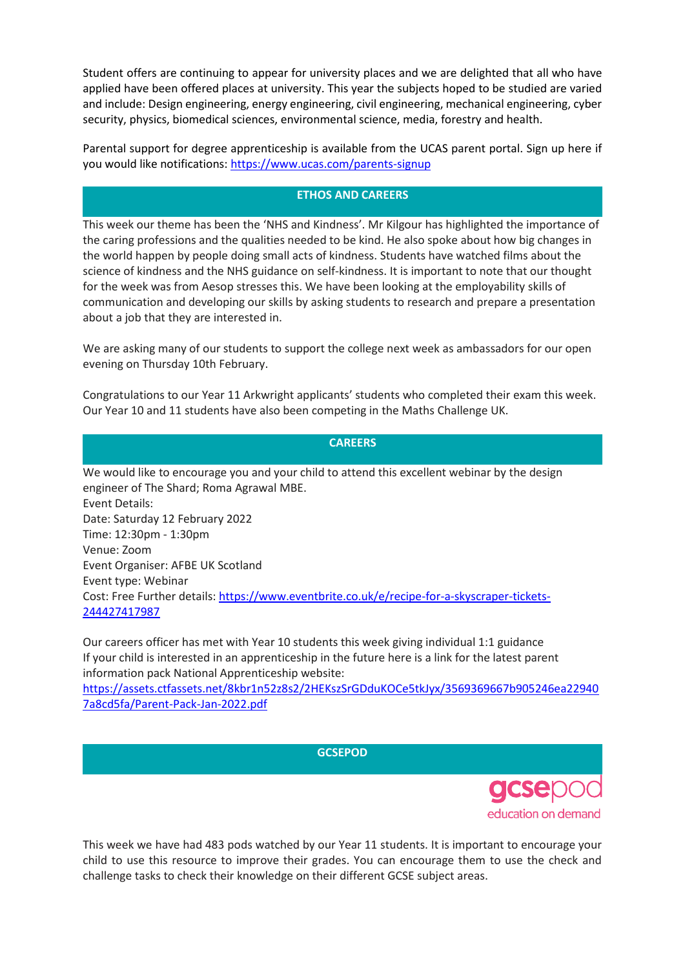Student offers are continuing to appear for university places and we are delighted that all who have applied have been offered places at university. This year the subjects hoped to be studied are varied and include: Design engineering, energy engineering, civil engineering, mechanical engineering, cyber security, physics, biomedical sciences, environmental science, media, forestry and health.

Parental support for degree apprenticeship is available from the UCAS parent portal. Sign up here if you would like notifications:<https://www.ucas.com/parents-signup>

## **ETHOS AND CAREERS**

This week our theme has been the 'NHS and Kindness'. Mr Kilgour has highlighted the importance of the caring professions and the qualities needed to be kind. He also spoke about how big changes in the world happen by people doing small acts of kindness. Students have watched films about the science of kindness and the NHS guidance on self-kindness. It is important to note that our thought for the week was from Aesop stresses this. We have been looking at the employability skills of communication and developing our skills by asking students to research and prepare a presentation about a job that they are interested in.

We are asking many of our students to support the college next week as ambassadors for our open evening on Thursday 10th February.

Congratulations to our Year 11 Arkwright applicants' students who completed their exam this week. Our Year 10 and 11 students have also been competing in the Maths Challenge UK.

**CAREERS**

We would like to encourage you and your child to attend this excellent webinar by the design engineer of The Shard; Roma Agrawal MBE. Event Details: Date: Saturday 12 February 2022 Time: 12:30pm - 1:30pm Venue: Zoom Event Organiser: AFBE UK Scotland Event type: Webinar Cost: Free Further details: [https://www.eventbrite.co.uk/e/recipe-for-a-skyscraper-tickets-](https://www.eventbrite.co.uk/e/recipe-for-a-skyscraper-tickets-244427417987)[244427417987](https://www.eventbrite.co.uk/e/recipe-for-a-skyscraper-tickets-244427417987)

Our careers officer has met with Year 10 students this week giving individual 1:1 guidance If your child is interested in an apprenticeship in the future here is a link for the latest parent information pack National Apprenticeship website:

[https://assets.ctfassets.net/8kbr1n52z8s2/2HEKszSrGDduKOCe5tkJyx/3569369667b905246ea22940](https://assets.ctfassets.net/8kbr1n52z8s2/2HEKszSrGDduKOCe5tkJyx/3569369667b905246ea229407a8cd5fa/Parent-Pack-Jan-2022.pdf) [7a8cd5fa/Parent-Pack-Jan-2022.pdf](https://assets.ctfassets.net/8kbr1n52z8s2/2HEKszSrGDduKOCe5tkJyx/3569369667b905246ea229407a8cd5fa/Parent-Pack-Jan-2022.pdf)

**GCSEPOD**



This week we have had 483 pods watched by our Year 11 students. It is important to encourage your child to use this resource to improve their grades. You can encourage them to use the check and challenge tasks to check their knowledge on their different GCSE subject areas.